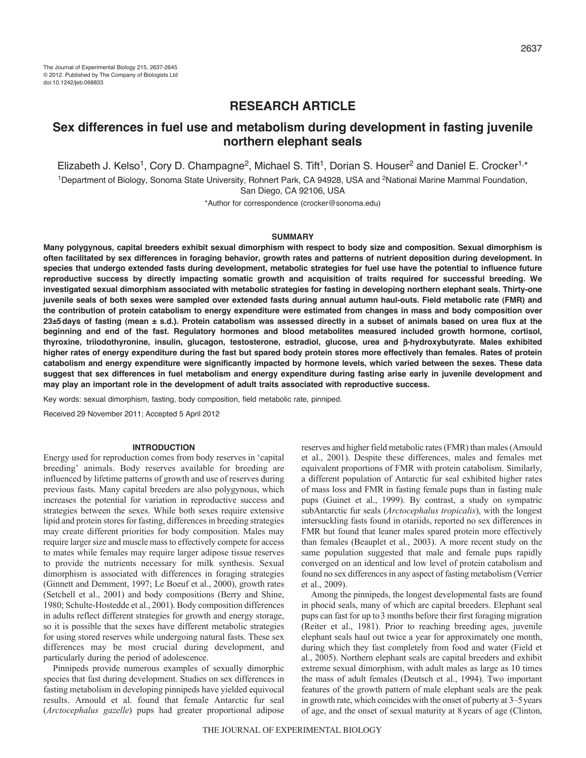# **RESEARCH ARTICLE**

# **Sex differences in fuel use and metabolism during development in fasting juvenile northern elephant seals**

Elizabeth J. Kelso<sup>1</sup>, Cory D. Champagne<sup>2</sup>, Michael S. Tift<sup>1</sup>, Dorian S. Houser<sup>2</sup> and Daniel E. Crocker<sup>1,\*</sup>

<sup>1</sup>Department of Biology, Sonoma State University, Rohnert Park, CA 94928, USA and <sup>2</sup>National Marine Mammal Foundation. San Diego, CA 92106, USA

\*Author for correspondence (crocker@sonoma.edu)

### **SUMMARY**

**Many polygynous, capital breeders exhibit sexual dimorphism with respect to body size and composition. Sexual dimorphism is often facilitated by sex differences in foraging behavior, growth rates and patterns of nutrient deposition during development. In species that undergo extended fasts during development, metabolic strategies for fuel use have the potential to influence future reproductive success by directly impacting somatic growth and acquisition of traits required for successful breeding. We investigated sexual dimorphism associated with metabolic strategies for fasting in developing northern elephant seals. Thirty-one juvenile seals of both sexes were sampled over extended fasts during annual autumn haul-outs. Field metabolic rate (FMR) and the contribution of protein catabolism to energy expenditure were estimated from changes in mass and body composition over 23±5days of fasting (mean ± s.d.). Protein catabolism was assessed directly in a subset of animals based on urea flux at the beginning and end of the fast. Regulatory hormones and blood metabolites measured included growth hormone, cortisol, thyroxine, triiodothyronine, insulin, glucagon, testosterone, estradiol, glucose, urea and -hydroxybutyrate. Males exhibited higher rates of energy expenditure during the fast but spared body protein stores more effectively than females. Rates of protein catabolism and energy expenditure were significantly impacted by hormone levels, which varied between the sexes. These data suggest that sex differences in fuel metabolism and energy expenditure during fasting arise early in juvenile development and may play an important role in the development of adult traits associated with reproductive success.**

Key words: sexual dimorphism, fasting, body composition, field metabolic rate, pinniped.

Received 29 November 2011; Accepted 5 April 2012

#### **INTRODUCTION**

Energy used for reproduction comes from body reserves in 'capital breeding' animals. Body reserves available for breeding are influenced by lifetime patterns of growth and use of reserves during previous fasts. Many capital breeders are also polygynous, which increases the potential for variation in reproductive success and strategies between the sexes. While both sexes require extensive lipid and protein stores for fasting, differences in breeding strategies may create different priorities for body composition. Males may require larger size and muscle mass to effectively compete for access to mates while females may require larger adipose tissue reserves to provide the nutrients necessary for milk synthesis. Sexual dimorphism is associated with differences in foraging strategies (Ginnett and Demment, 1997; Le Boeuf et al., 2000), growth rates (Setchell et al., 2001) and body compositions (Berry and Shine, 1980; Schulte-Hostedde et al., 2001). Body composition differences in adults reflect different strategies for growth and energy storage, so it is possible that the sexes have different metabolic strategies for using stored reserves while undergoing natural fasts. These sex differences may be most crucial during development, and particularly during the period of adolescence.

Pinnipeds provide numerous examples of sexually dimorphic species that fast during development. Studies on sex differences in fasting metabolism in developing pinnipeds have yielded equivocal results. Arnould et al. found that female Antarctic fur seal (*Arctocephalus gazelle*) pups had greater proportional adipose

reserves and higher field metabolic rates (FMR) than males (Arnould et al., 2001). Despite these differences, males and females met equivalent proportions of FMR with protein catabolism. Similarly, a different population of Antarctic fur seal exhibited higher rates of mass loss and FMR in fasting female pups than in fasting male pups (Guinet et al., 1999). By contrast, a study on sympatric subAntarctic fur seals (*Arctocephalus tropicalis*), with the longest intersuckling fasts found in otariids, reported no sex differences in FMR but found that leaner males spared protein more effectively than females (Beauplet et al., 2003). A more recent study on the same population suggested that male and female pups rapidly converged on an identical and low level of protein catabolism and found no sex differences in any aspect of fasting metabolism (Verrier et al., 2009).

Among the pinnipeds, the longest developmental fasts are found in phocid seals, many of which are capital breeders. Elephant seal pups can fast for up to3 months before their first foraging migration (Reiter et al., 1981). Prior to reaching breeding ages, juvenile elephant seals haul out twice a year for approximately one month, during which they fast completely from food and water (Field et al., 2005). Northern elephant seals are capital breeders and exhibit extreme sexual dimorphism, with adult males as large as 10 times the mass of adult females (Deutsch et al., 1994). Two important features of the growth pattern of male elephant seals are the peak in growth rate, which coincides with the onset of puberty at 3–5years of age, and the onset of sexual maturity at 8years of age (Clinton,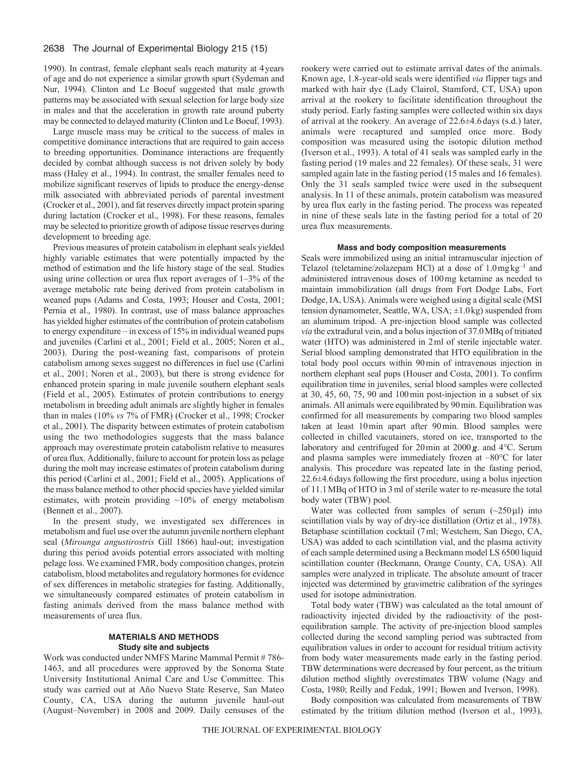1990). In contrast, female elephant seals reach maturity at 4years of age and do not experience a similar growth spurt (Sydeman and Nur, 1994). Clinton and Le Boeuf suggested that male growth patterns may be associated with sexual selection for large body size in males and that the acceleration in growth rate around puberty may be connected to delayed maturity (Clinton and Le Boeuf, 1993).

Large muscle mass may be critical to the success of males in competitive dominance interactions that are required to gain access to breeding opportunities. Dominance interactions are frequently decided by combat although success is not driven solely by body mass (Haley et al., 1994). In contrast, the smaller females need to mobilize significant reserves of lipids to produce the energy-dense milk associated with abbreviated periods of parental investment (Crocker et al., 2001), and fat reserves directly impact protein sparing during lactation (Crocker et al., 1998). For these reasons, females may be selected to prioritize growth of adipose tissue reserves during development to breeding age.

Previous measures of protein catabolism in elephant seals yielded highly variable estimates that were potentially impacted by the method of estimation and the life history stage of the seal. Studies using urine collection or urea flux report averages of 1–3% of the average metabolic rate being derived from protein catabolism in weaned pups (Adams and Costa, 1993; Houser and Costa, 2001; Pernia et al., 1980). In contrast, use of mass balance approaches has yielded higher estimates of the contribution of protein catabolism to energy expenditure – in excess of 15% in individual weaned pups and juveniles (Carlini et al., 2001; Field et al., 2005; Noren et al., 2003). During the post-weaning fast, comparisons of protein catabolism among sexes suggest no differences in fuel use (Carlini et al., 2001; Noren et al., 2003), but there is strong evidence for enhanced protein sparing in male juvenile southern elephant seals (Field et al., 2005). Estimates of protein contributions to energy metabolism in breeding adult animals are slightly higher in females than in males (10% *vs* 7% of FMR) (Crocker et al., 1998; Crocker et al., 2001). The disparity between estimates of protein catabolism using the two methodologies suggests that the mass balance approach may overestimate protein catabolism relative to measures of urea flux. Additionally, failure to account for protein loss as pelage during the molt may increase estimates of protein catabolism during this period (Carlini et al., 2001; Field et al., 2005). Applications of the mass balance method to other phocid species have yielded similar estimates, with protein providing  $\sim$ 10% of energy metabolism (Bennett et al., 2007).

In the present study, we investigated sex differences in metabolism and fuel use over the autumn juvenile northern elephant seal (*Mirounga angustirostris* Gill 1866) haul-out; investigation during this period avoids potential errors associated with molting pelage loss. We examined FMR, body composition changes, protein catabolism, blood metabolites and regulatory hormones for evidence of sex differences in metabolic strategies for fasting. Additionally, we simultaneously compared estimates of protein catabolism in fasting animals derived from the mass balance method with measurements of urea flux.

## **MATERIALS AND METHODS Study site and subjects**

Work was conducted under NMFS Marine Mammal Permit # 786- 1463, and all procedures were approved by the Sonoma State University Institutional Animal Care and Use Committee. This study was carried out at Año Nuevo State Reserve, San Mateo County, CA, USA during the autumn juvenile haul-out (August–November) in 2008 and 2009. Daily censuses of the rookery were carried out to estimate arrival dates of the animals. Known age, 1.8-year-old seals were identified *via* flipper tags and marked with hair dye (Lady Clairol, Stamford, CT, USA) upon arrival at the rookery to facilitate identification throughout the study period. Early fasting samples were collected within six days of arrival at the rookery. An average of 22.6±4.6 days (s.d.) later, animals were recaptured and sampled once more. Body composition was measured using the isotopic dilution method (Iverson et al., 1993). A total of 41 seals was sampled early in the fasting period (19 males and 22 females). Of these seals, 31 were sampled again late in the fasting period (15 males and 16 females). Only the 31 seals sampled twice were used in the subsequent analysis. In 11 of these animals, protein catabolism was measured by urea flux early in the fasting period. The process was repeated in nine of these seals late in the fasting period for a total of 20 urea flux measurements.

### **Mass and body composition measurements**

Seals were immobilized using an initial intramuscular injection of Telazol (teletamine/zolazepam HCl) at a dose of  $1.0 \text{ mg}\text{ kg}^{-1}$  and administered intravenous doses of 100mg ketamine as needed to maintain immobilization (all drugs from Fort Dodge Labs, Fort Dodge, IA, USA). Animals were weighed using a digital scale (MSI tension dynamometer, Seattle, WA, USA; ±1.0kg) suspended from an aluminum tripod. A pre-injection blood sample was collected *via* the extradural vein, and a bolus injection of 37.0MBq of tritiated water (HTO) was administered in 2ml of sterile injectable water. Serial blood sampling demonstrated that HTO equilibration in the total body pool occurs within 90min of intravenous injection in northern elephant seal pups (Houser and Costa, 2001). To confirm equilibration time in juveniles, serial blood samples were collected at 30, 45, 60, 75, 90 and 100min post-injection in a subset of six animals. All animals were equilibrated by 90min. Equilibration was confirmed for all measurements by comparing two blood samples taken at least 10min apart after 90min. Blood samples were collected in chilled vacutainers, stored on ice, transported to the laboratory and centrifuged for 20min at 2000 *g*. and 4°C. Serum and plasma samples were immediately frozen at –80°C for later analysis. This procedure was repeated late in the fasting period, 22.6±4.6days following the first procedure, using a bolus injection of 11.1MBq of HTO in 3ml of sterile water to re-measure the total body water (TBW) pool.

Water was collected from samples of serum  $(\sim 250 \,\text{µ})$  into scintillation vials by way of dry-ice distillation (Ortiz et al., 1978). Betaphase scintillation cocktail (7ml; Westchem, San Diego, CA, USA) was added to each scintillation vial, and the plasma activity of each sample determined using a Beckmann model LS 6500 liquid scintillation counter (Beckmann, Orange County, CA, USA). All samples were analyzed in triplicate. The absolute amount of tracer injected was determined by gravimetric calibration of the syringes used for isotope administration.

Total body water (TBW) was calculated as the total amount of radioactivity injected divided by the radioactivity of the postequilibration sample. The activity of pre-injection blood samples collected during the second sampling period was subtracted from equilibration values in order to account for residual tritium activity from body water measurements made early in the fasting period. TBW determinations were decreased by four percent, as the tritium dilution method slightly overestimates TBW volume (Nagy and Costa, 1980; Reilly and Fedak, 1991; Bowen and Iverson, 1998).

Body composition was calculated from measurements of TBW estimated by the tritium dilution method (Iverson et al., 1993),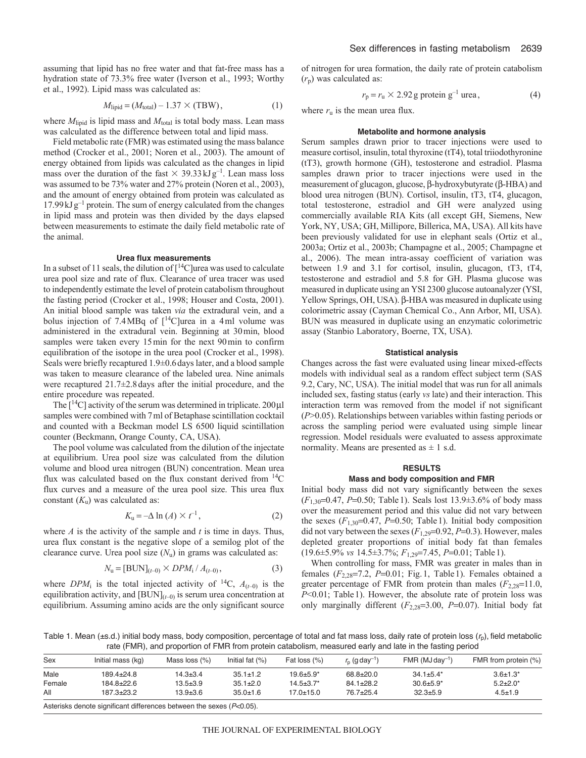assuming that lipid has no free water and that fat-free mass has a hydration state of 73.3% free water (Iverson et al., 1993; Worthy et al., 1992). Lipid mass was calculated as:

$$
M_{\text{lipid}} = (M_{\text{total}}) - 1.37 \times (\text{TBW}), \tag{1}
$$

where  $M_{\text{lipid}}$  is lipid mass and  $M_{\text{total}}$  is total body mass. Lean mass was calculated as the difference between total and lipid mass.

Field metabolic rate (FMR) was estimated using the mass balance method (Crocker et al., 2001; Noren et al., 2003). The amount of energy obtained from lipids was calculated as the changes in lipid mass over the duration of the fast  $\times$  39.33 kJg<sup>-1</sup>. Lean mass loss was assumed to be 73% water and 27% protein (Noren et al., 2003), and the amount of energy obtained from protein was calculated as 17.99 $kJg^{-1}$  protein. The sum of energy calculated from the changes in lipid mass and protein was then divided by the days elapsed between measurements to estimate the daily field metabolic rate of the animal.

### **Urea flux measurements**

In a subset of 11 seals, the dilution of  $[14C]$ urea was used to calculate urea pool size and rate of flux. Clearance of urea tracer was used to independently estimate the level of protein catabolism throughout the fasting period (Crocker et al., 1998; Houser and Costa, 2001). An initial blood sample was taken *via* the extradural vein, and a bolus injection of 7.4MBq of  $\int_0^{14}$ C qurea in a 4ml volume was administered in the extradural vein. Beginning at 30min, blood samples were taken every 15min for the next 90min to confirm equilibration of the isotope in the urea pool (Crocker et al., 1998). Seals were briefly recaptured 1.9±0.6days later, and a blood sample was taken to measure clearance of the labeled urea. Nine animals were recaptured 21.7±2.8days after the initial procedure, and the entire procedure was repeated.

The  $[$ <sup>14</sup>C] activity of the serum was determined in triplicate. 200 $\mu$ l samples were combined with 7ml of Betaphase scintillation cocktail and counted with a Beckman model LS 6500 liquid scintillation counter (Beckmann, Orange County, CA, USA).

The pool volume was calculated from the dilution of the injectate at equilibrium. Urea pool size was calculated from the dilution volume and blood urea nitrogen (BUN) concentration. Mean urea flux was calculated based on the flux constant derived from  $^{14}$ C flux curves and a measure of the urea pool size. This urea flux constant  $(K_u)$  was calculated as:

$$
K_{\mathbf{u}} = -\Delta \ln \left( A \right) \times \tau^1,\tag{2}
$$

where *A* is the activity of the sample and *t* is time in days. Thus, urea flux constant is the negative slope of a semilog plot of the clearance curve. Urea pool size  $(N_u)$  in grams was calculated as:

$$
N_{\rm u} = \text{[BUN]}_{(t=0)} \times \text{DPM}_{\rm i} / A_{(t=0)},\tag{3}
$$

where *DPM*<sub>i</sub> is the total injected activity of <sup>14</sup>C,  $A_{(t-0)}$  is the equilibration activity, and  $[BUN]_{(t=0)}$  is serum urea concentration at equilibrium. Assuming amino acids are the only significant source of nitrogen for urea formation, the daily rate of protein catabolism  $(r_p)$  was calculated as:

$$
r_{\rm p} = r_{\rm u} \times 2.92 \,\text{g protein g}^{-1} \text{ urea},\tag{4}
$$

where  $r_{\rm u}$  is the mean urea flux.

### **Metabolite and hormone analysis**

Serum samples drawn prior to tracer injections were used to measure cortisol, insulin, total thyroxine (tT4), total triiodothyronine (tT3), growth hormone (GH), testosterone and estradiol. Plasma samples drawn prior to tracer injections were used in the measurement of glucagon, glucose,  $\beta$ -hydroxybutyrate ( $\beta$ -HBA) and blood urea nitrogen (BUN). Cortisol, insulin, tT3, tT4, glucagon, total testosterone, estradiol and GH were analyzed using commercially available RIA Kits (all except GH, Siemens, New York, NY, USA; GH, Millipore, Billerica, MA, USA). All kits have been previously validated for use in elephant seals (Ortiz et al., 2003a; Ortiz et al., 2003b; Champagne et al., 2005; Champagne et al., 2006). The mean intra-assay coefficient of variation was between 1.9 and 3.1 for cortisol, insulin, glucagon, tT3, tT4, testosterone and estradiol and 5.8 for GH. Plasma glucose was measured in duplicate using an YSI 2300 glucose autoanalyzer (YSI, Yellow Springs, OH, USA). β-HBA was measured in duplicate using colorimetric assay (Cayman Chemical Co., Ann Arbor, MI, USA). BUN was measured in duplicate using an enzymatic colorimetric assay (Stanbio Laboratory, Boerne, TX, USA).

#### **Statistical analysis**

Changes across the fast were evaluated using linear mixed-effects models with individual seal as a random effect subject term (SAS 9.2, Cary, NC, USA). The initial model that was run for all animals included sex, fasting status (early *vs* late) and their interaction. This interaction term was removed from the model if not significant (*P*>0.05). Relationships between variables within fasting periods or across the sampling period were evaluated using simple linear regression. Model residuals were evaluated to assess approximate normality. Means are presented as  $\pm$  1 s.d.

### **RESULTS**

#### **Mass and body composition and FMR**

Initial body mass did not vary significantly between the sexes  $(F_{1,30}=0.47, P=0.50;$  Table 1). Seals lost 13.9 $\pm$ 3.6% of body mass over the measurement period and this value did not vary between the sexes  $(F_{1,30} = 0.47, P = 0.50;$  Table 1). Initial body composition did not vary between the sexes  $(F_{1,29}=0.92, P=0.3)$ . However, males depleted greater proportions of initial body fat than females  $(19.6\pm5.9\% \text{ vs } 14.5\pm3.7\%; F_{1.29} = 7.45, P = 0.01; \text{ Table 1}).$ 

When controlling for mass, FMR was greater in males than in females  $(F_{2,28}=7.2, P=0.01;$  Fig.1, Table 1). Females obtained a greater percentage of FMR from protein than males  $(F_{2,28}=11.0,$ *P*<0.01; Table 1). However, the absolute rate of protein loss was only marginally different  $(F_{2,28}=3.00, P=0.07)$ . Initial body fat

Table 1. Mean (±s.d.) initial body mass, body composition, percentage of total and fat mass loss, daily rate of protein loss (*r*p), field metabolic rate (FMR), and proportion of FMR from protein catabolism, measured early and late in the fasting period

| Sex    | Initial mass (kg) | Mass loss $(%)$ | Initial fat $(%)$ | Fat loss $(\%)$  | $r_{\rm o}$ (g day <sup>-1</sup> ) | $FMR$ (MJ dav <sup>-1</sup> ) | FMR from protein (%) |
|--------|-------------------|-----------------|-------------------|------------------|------------------------------------|-------------------------------|----------------------|
| Male   | $189.4 + 24.8$    | $14.3 + 3.4$    | $35.1 \pm 1.2$    | $19.6 + 5.9*$    | $68.8 + 20.0$                      | $34.1 \pm 5.4^*$              | $3.6 + 1.3^*$        |
| Female | $184.8 + 22.6$    | $13.5 + 3.9$    | $35.1 + 2.0$      | $14.5 \pm 3.7^*$ | 84.1±28.2                          | $30.6 + 5.9*$                 | $5.2 \pm 2.0^*$      |
| All    | $187.3 + 23.2$    | $13.9 + 3.6$    | $35.0 \pm 1.6$    | $17.0 + 15.0$    | 76.7±25.4                          | $32.3 + 5.9$                  | $4.5 \pm 1.9$        |
|        |                   |                 |                   |                  |                                    |                               |                      |

Asterisks denote significant differences between the sexes (*P*<0.05).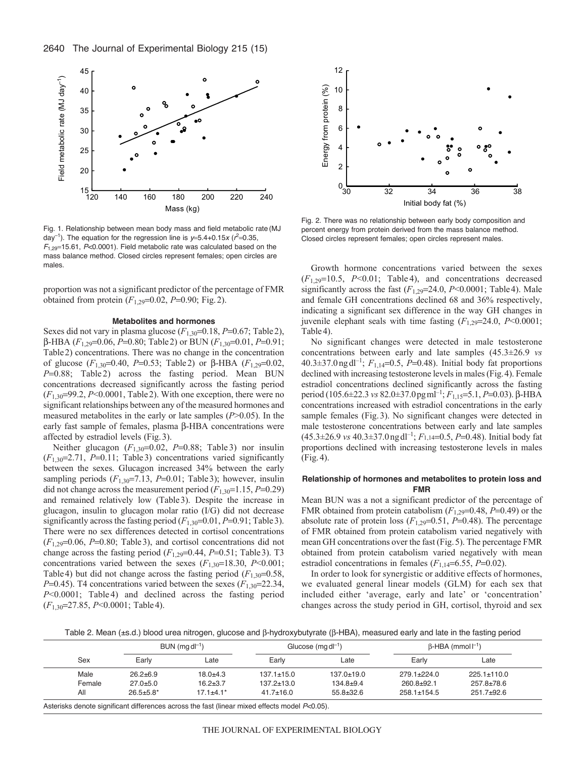

Fig. 1. Relationship between mean body mass and field metabolic rate (MJ day<sup>-1</sup>). The equation for the regression line is  $y=5.4+0.15x$  ( $t^2=0.35$ ,  $F_{1,29}$ =15.61,  $P$ <0.0001). Field metabolic rate was calculated based on the mass balance method. Closed circles represent females; open circles are males

proportion was not a significant predictor of the percentage of FMR obtained from protein  $(F_{1,29}=0.02, P=0.90; Fig. 2)$ .

### **Metabolites and hormones**

Sexes did not vary in plasma glucose  $(F_{1,30}=0.18, P=0.67;$  Table 2),  $\beta$ -HBA ( $F_{1,29}$ =0.06, *P*=0.80; Table 2) or BUN ( $F_{1,30}$ =0.01, *P*=0.91; Table2) concentrations. There was no change in the concentration of glucose  $(F_{1,30} = 0.40, P = 0.53;$  Table 2) or  $\beta$ -HBA  $(F_{1,29} = 0.02, P = 0.04)$ *P*=0.88; Table 2) across the fasting period. Mean BUN concentrations decreased significantly across the fasting period  $(F_{1,30}=99.2, P<0.0001,$  Table 2). With one exception, there were no significant relationships between any of the measured hormones and measured metabolites in the early or late samples (*P*>0.05). In the early fast sample of females, plasma  $\beta$ -HBA concentrations were affected by estradiol levels (Fig.3).

Neither glucagon  $(F_{1,30}=0.02, P=0.88;$  Table 3) nor insulin  $(F_{1,30}=2.71, P=0.11;$  Table 3) concentrations varied significantly between the sexes. Glucagon increased 34% between the early sampling periods  $(F_{1,30}=7.13, P=0.01;$  Table 3); however, insulin did not change across the measurement period  $(F_{1,30}=1.15, P=0.29)$ and remained relatively low (Table3). Despite the increase in glucagon, insulin to glucagon molar ratio (I/G) did not decrease significantly across the fasting period  $(F_{1,30}=0.01, P=0.91;$  Table 3). There were no sex differences detected in cortisol concentrations  $(F_{1,29}=0.06, P=0.80;$  Table 3), and cortisol concentrations did not change across the fasting period  $(F_{1,29}=0.44, P=0.51;$  Table 3). T3 concentrations varied between the sexes  $(F_{1,30} = 18.30, P \le 0.001;$ Table 4) but did not change across the fasting period  $(F_{1,30}=0.58,$ *P*=0.45). T4 concentrations varied between the sexes  $(F_{1,30}=22.34,$ *P*<0.0001; Table 4) and declined across the fasting period (*F*1,3027.85, *P*<0.0001; Table4).



Fig. 2. There was no relationship between early body composition and percent energy from protein derived from the mass balance method. Closed circles represent females; open circles represent males.

Growth hormone concentrations varied between the sexes  $(F_{1,29}=10.5, P<0.01$ ; Table 4), and concentrations decreased significantly across the fast  $(F_{1,29} = 24.0, P \le 0.0001$ ; Table 4). Male and female GH concentrations declined 68 and 36% respectively, indicating a significant sex difference in the way GH changes in juvenile elephant seals with time fasting  $(F_{1,29}=24.0, P<0.0001;$ Table4).

No significant changes were detected in male testosterone concentrations between early and late samples (45.3±26.9 *vs* 40.3 $\pm$ 37.0 ng dl<sup>-1</sup>;  $F_{1,14}$ =0.5,  $P$ =0.48). Initial body fat proportions declined with increasing testosterone levels in males (Fig.4). Female estradiol concentrations declined significantly across the fasting period (105.6±22.3 *vs* 82.0±37.0pgm<sup>1-1</sup>; *F*<sub>1,15</sub>=5.1, *P*=0.03). β-HBA concentrations increased with estradiol concentrations in the early sample females (Fig.3). No significant changes were detected in male testosterone concentrations between early and late samples  $(45.3\pm26.9 \text{ vs } 40.3\pm37.0 \text{ ng } d^{-1}; F_{1,14}=0.5, P=0.48)$ . Initial body fat proportions declined with increasing testosterone levels in males (Fig.4).

### **Relationship of hormones and metabolites to protein loss and FMR**

Mean BUN was a not a significant predictor of the percentage of FMR obtained from protein catabolism  $(F_{1,29}=0.48, P=0.49)$  or the absolute rate of protein loss  $(F_{1,29}=0.51, P=0.48)$ . The percentage of FMR obtained from protein catabolism varied negatively with mean GH concentrations over the fast (Fig.5). The percentage FMR obtained from protein catabolism varied negatively with mean estradiol concentrations in females  $(F_{1,14}=6.55, P=0.02)$ .

In order to look for synergistic or additive effects of hormones, we evaluated general linear models (GLM) for each sex that included either 'average, early and late' or 'concentration' changes across the study period in GH, cortisol, thyroid and sex

Table 2. Mean (±s.d.) blood urea nitrogen, glucose and  $\beta$ -hydroxybutyrate ( $\beta$ -HBA), measured early and late in the fasting period

|        |               | $BUN$ (mg dl <sup>-1</sup> ) |                  | Glucose (mg $dl^{-1}$ ) | $\beta$ -HBA (mmol $\Gamma$ <sup>1</sup> ) |                   |  |
|--------|---------------|------------------------------|------------------|-------------------------|--------------------------------------------|-------------------|--|
| Sex    | Early         | ∟ate                         | Early            | ∟ate                    | Earlv                                      | Late              |  |
| Male   | $26.2 + 6.9$  | $18.0 + 4.3$                 | $137.1 \pm 15.0$ | $137.0 \pm 19.0$        | $279.1 \pm 224.0$                          | $225.1 \pm 110.0$ |  |
| Female | $27.0 + 5.0$  | $16.2 + 3.7$                 | $137.2 \pm 13.0$ | $134.8 + 9.4$           | $260.8 + 92.1$                             | $257.8 + 78.6$    |  |
| All    | $26.5 + 5.8*$ | $17.1 + 4.1*$                | $41.7 \pm 16.0$  | $55.8 \pm 32.6$         | $258.1 \pm 154.5$                          | 251.7±92.6        |  |
|        |               |                              |                  |                         |                                            |                   |  |

Asterisks denote significant differences across the fast (linear mixed effects model *P*<0.05).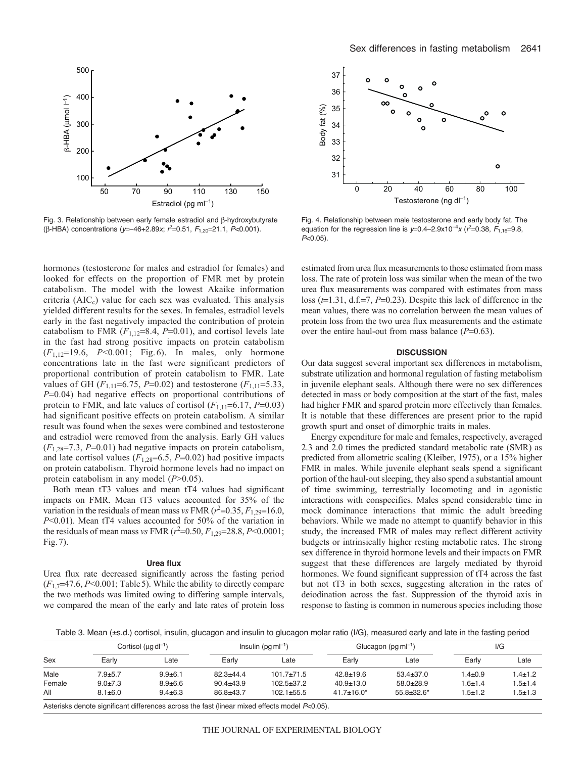

Fig. 3. Relationship between early female estradiol and  $\beta$ -hydroxybutyrate (β-HBA) concentrations (y=-46+2.89x;  $r^2$ =0.51,  $F_{1,20}$ =21.1, P<0.001).

hormones (testosterone for males and estradiol for females) and looked for effects on the proportion of FMR met by protein catabolism. The model with the lowest Akaike information criteria  $(AIC_c)$  value for each sex was evaluated. This analysis yielded different results for the sexes. In females, estradiol levels early in the fast negatively impacted the contribution of protein catabolism to FMR  $(F_{1,12}=8.4, P=0.01)$ , and cortisol levels late in the fast had strong positive impacts on protein catabolism  $(F_{1,12}=19.6, P<0.001;$  Fig. 6). In males, only hormone concentrations late in the fast were significant predictors of proportional contribution of protein catabolism to FMR. Late values of GH ( $F_{1,11}$ =6.75,  $P=0.02$ ) and testosterone ( $F_{1,11}$ =5.33, *P*=0.04) had negative effects on proportional contributions of protein to FMR, and late values of cortisol  $(F_{1,11}=6.17, P=0.03)$ had significant positive effects on protein catabolism. A similar result was found when the sexes were combined and testosterone and estradiol were removed from the analysis. Early GH values  $(F_{1,28}=7.3, P=0.01)$  had negative impacts on protein catabolism, and late cortisol values ( $F_{1,28}$ =6.5,  $P$ =0.02) had positive impacts on protein catabolism. Thyroid hormone levels had no impact on protein catabolism in any model (*P*>0.05).

Both mean tT3 values and mean tT4 values had significant impacts on FMR. Mean tT3 values accounted for 35% of the variation in the residuals of mean mass *vs* FMR  $(r^2=0.35, F_{1,29}=16.0,$ *P*<0.01). Mean tT4 values accounted for 50% of the variation in the residuals of mean mass *vs* FMR  $(r^2=0.50, F_{1,29}=28.8, P<0.0001;$ Fig.7).

#### **Urea flux**

Urea flux rate decreased significantly across the fasting period  $(F_{1,7}=47.6, P<0.001;$  Table 5). While the ability to directly compare the two methods was limited owing to differing sample intervals, we compared the mean of the early and late rates of protein loss



Fig. 4. Relationship between male testosterone and early body fat. The equation for the regression line is  $y=0.4-2.9x10^{-4}x$  ( $r^2=0.38$ ,  $F_{1,16}=9.8$ , *P*<0.05).

estimated from urea flux measurements to those estimated from mass loss. The rate of protein loss was similar when the mean of the two urea flux measurements was compared with estimates from mass loss ( $t=1.31$ , d.f.=7,  $P=0.23$ ). Despite this lack of difference in the mean values, there was no correlation between the mean values of protein loss from the two urea flux measurements and the estimate over the entire haul-out from mass balance  $(P=0.63)$ .

#### **DISCUSSION**

Our data suggest several important sex differences in metabolism, substrate utilization and hormonal regulation of fasting metabolism in juvenile elephant seals. Although there were no sex differences detected in mass or body composition at the start of the fast, males had higher FMR and spared protein more effectively than females. It is notable that these differences are present prior to the rapid growth spurt and onset of dimorphic traits in males.

Energy expenditure for male and females, respectively, averaged 2.3 and 2.0 times the predicted standard metabolic rate (SMR) as predicted from allometric scaling (Kleiber, 1975), or a 15% higher FMR in males. While juvenile elephant seals spend a significant portion of the haul-out sleeping, they also spend a substantial amount of time swimming, terrestrially locomoting and in agonistic interactions with conspecifics. Males spend considerable time in mock dominance interactions that mimic the adult breeding behaviors. While we made no attempt to quantify behavior in this study, the increased FMR of males may reflect different activity budgets or intrinsically higher resting metabolic rates. The strong sex difference in thyroid hormone levels and their impacts on FMR suggest that these differences are largely mediated by thyroid hormones. We found significant suppression of tT4 across the fast but not tT3 in both sexes, suggesting alteration in the rates of deiodination across the fast. Suppression of the thyroid axis in response to fasting is common in numerous species including those

Table 3. Mean (±s.d.) cortisol, insulin, glucagon and insulin to glucagon molar ratio (I/G), measured early and late in the fasting period

|        |               | Cortisol ( $\mu$ g dl <sup>-1</sup> ) |               | $Insulin (pq ml-1)$<br>Glucagon (pg m $I^{-1}$ ) |                   |                   | $\mathsf{I/G}$ |             |
|--------|---------------|---------------------------------------|---------------|--------------------------------------------------|-------------------|-------------------|----------------|-------------|
| Sex    | Early         | ∟ate                                  | Early         | Late                                             | Early             | ∟ate              | Early          | Late        |
| Male   | $7.9 + 5.7$   | $9.9 + 6.1$                           | $82.3 + 44.4$ | $101.7 \pm 71.5$                                 | $42.8 \pm 19.6$   | $53.4 \pm 37.0$   | $1.4 \pm 0.9$  | $1.4 + 1.2$ |
| Female | $9.0 + 7.3$   | $8.9 + 6.6$                           | $90.4 + 43.9$ | $102.5 + 37.2$                                   | $40.9 \pm 13.0$   | $58.0 + 28.9$     | $1.6 + 1.4$    | $1.5 + 1.4$ |
| All    | $8.1 \pm 6.0$ | $9.4 \pm 6.3$                         | $86.8 + 43.7$ | $102.1 + 55.5$                                   | $41.7 \pm 16.0^*$ | $55.8 \pm 32.6^*$ | $1.5 + 1.2$    | $1.5 + 1.3$ |
|        |               |                                       |               |                                                  |                   |                   |                |             |

Asterisks denote significant differences across the fast (linear mixed effects model *P*<0.05).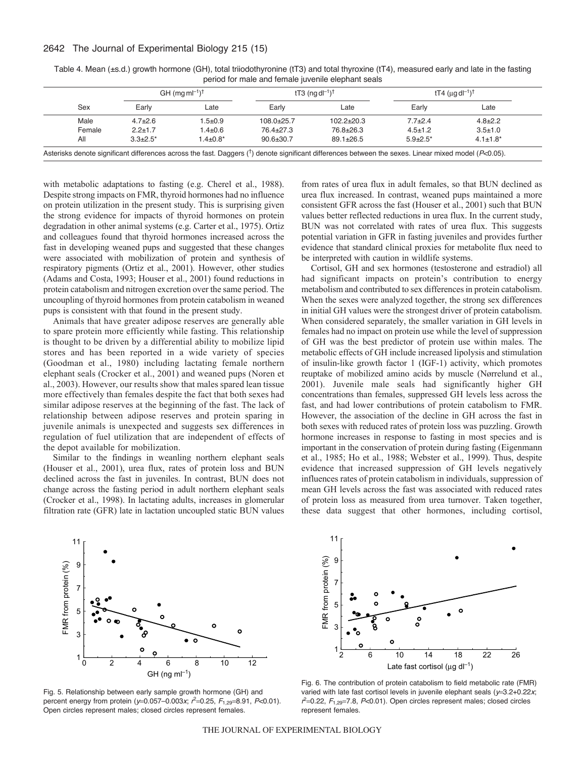### 2642 The Journal of Experimental Biology 215 (15)

|        |                 | $GH$ (mg m $I^{-1}$ ) <sup>†</sup> |                 | tT3 (ng dl <sup>-1</sup> ) <sup>†</sup> |                 | tT4 ( $\mu$ g dl <sup>-1</sup> ) <sup>†</sup> |
|--------|-----------------|------------------------------------|-----------------|-----------------------------------------|-----------------|-----------------------------------------------|
| Sex    | Earlv           | ∟ate                               | Early           | Late                                    | Early           | Late                                          |
| Male   | $4.7 \pm 2.6$   | $1.5 \pm 0.9$                      | $108.0 + 25.7$  | $102.2 + 20.3$                          | $7.7 + 2.4$     | $4.8 \pm 2.2$                                 |
| Female | $2.2 + 1.7$     | $1.4 \pm 0.6$                      | $76.4 + 27.3$   | 76.8±26.3                               | $4.5 \pm 1.2$   | $3.5 \pm 1.0$                                 |
| All    | $3.3 \pm 2.5^*$ | $1.4 \pm 0.8^*$                    | $90.6 \pm 30.7$ | $89.1 + 26.5$                           | $5.9{\pm}2.5^*$ | $4.1 \pm 1.8^*$                               |

Table 4. Mean (±s.d.) growth hormone (GH), total triiodothyronine (tT3) and total thyroxine (tT4), measured early and late in the fasting period for male and female juvenile elephant seals

with metabolic adaptations to fasting (e.g. Cherel et al., 1988). Despite strong impacts on FMR, thyroid hormones had no influence on protein utilization in the present study. This is surprising given the strong evidence for impacts of thyroid hormones on protein degradation in other animal systems (e.g. Carter et al., 1975). Ortiz and colleagues found that thyroid hormones increased across the fast in developing weaned pups and suggested that these changes were associated with mobilization of protein and synthesis of respiratory pigments (Ortiz et al., 2001). However, other studies (Adams and Costa, 1993; Houser et al., 2001) found reductions in protein catabolism and nitrogen excretion over the same period. The uncoupling of thyroid hormones from protein catabolism in weaned pups is consistent with that found in the present study.

Animals that have greater adipose reserves are generally able to spare protein more efficiently while fasting. This relationship is thought to be driven by a differential ability to mobilize lipid stores and has been reported in a wide variety of species (Goodman et al., 1980) including lactating female northern elephant seals (Crocker et al., 2001) and weaned pups (Noren et al., 2003). However, our results show that males spared lean tissue more effectively than females despite the fact that both sexes had similar adipose reserves at the beginning of the fast. The lack of relationship between adipose reserves and protein sparing in juvenile animals is unexpected and suggests sex differences in regulation of fuel utilization that are independent of effects of the depot available for mobilization.

Similar to the findings in weanling northern elephant seals (Houser et al., 2001), urea flux, rates of protein loss and BUN declined across the fast in juveniles. In contrast, BUN does not change across the fasting period in adult northern elephant seals (Crocker et al., 1998). In lactating adults, increases in glomerular filtration rate (GFR) late in lactation uncoupled static BUN values from rates of urea flux in adult females, so that BUN declined as urea flux increased. In contrast, weaned pups maintained a more consistent GFR across the fast (Houser et al., 2001) such that BUN values better reflected reductions in urea flux. In the current study, BUN was not correlated with rates of urea flux. This suggests potential variation in GFR in fasting juveniles and provides further evidence that standard clinical proxies for metabolite flux need to be interpreted with caution in wildlife systems.

Cortisol, GH and sex hormones (testosterone and estradiol) all had significant impacts on protein's contribution to energy metabolism and contributed to sex differences in protein catabolism. When the sexes were analyzed together, the strong sex differences in initial GH values were the strongest driver of protein catabolism. When considered separately, the smaller variation in GH levels in females had no impact on protein use while the level of suppression of GH was the best predictor of protein use within males. The metabolic effects of GH include increased lipolysis and stimulation of insulin-like growth factor 1 (IGF-1) activity, which promotes reuptake of mobilized amino acids by muscle (Nørrelund et al., 2001). Juvenile male seals had significantly higher GH concentrations than females, suppressed GH levels less across the fast, and had lower contributions of protein catabolism to FMR. However, the association of the decline in GH across the fast in both sexes with reduced rates of protein loss was puzzling. Growth hormone increases in response to fasting in most species and is important in the conservation of protein during fasting (Eigenmann et al., 1985; Ho et al., 1988; Webster et al., 1999). Thus, despite evidence that increased suppression of GH levels negatively influences rates of protein catabolism in individuals, suppression of mean GH levels across the fast was associated with reduced rates of protein loss as measured from urea turnover. Taken together, these data suggest that other hormones, including cortisol,



Fig. 5. Relationship between early sample growth hormone (GH) and percent energy from protein (*y*=0.057–0.003*x*;  $r^2$ =0.25,  $F_{1,29}$ =8.91, P<0.01). Open circles represent males; closed circles represent females.



Fig. 6. The contribution of protein catabolism to field metabolic rate (FMR) varied with late fast cortisol levels in juvenile elephant seals ( $y=3.2+0.22x$ ; *r*<sup>2</sup>=0.22, *F*<sub>1,29</sub>=7.8, *P*<0.01). Open circles represent males; closed circles represent females.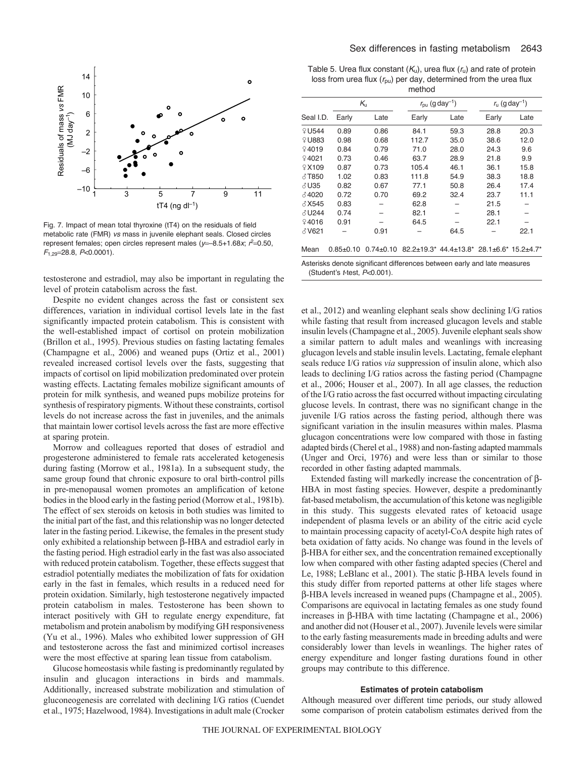

Fig. 7. Impact of mean total thyroxine (tT4) on the residuals of field metabolic rate (FMR) *vs* mass in juvenile elephant seals. Closed circles represent females; open circles represent males (y=-8.5+1.68x; r<sup>2</sup>=0.50, *F*<sub>1,29</sub>=28.8, *P*<0.0001).

testosterone and estradiol, may also be important in regulating the level of protein catabolism across the fast.

Despite no evident changes across the fast or consistent sex differences, variation in individual cortisol levels late in the fast significantly impacted protein catabolism. This is consistent with the well-established impact of cortisol on protein mobilization (Brillon et al., 1995). Previous studies on fasting lactating females (Champagne et al., 2006) and weaned pups (Ortiz et al., 2001) revealed increased cortisol levels over the fasts, suggesting that impacts of cortisol on lipid mobilization predominated over protein wasting effects. Lactating females mobilize significant amounts of protein for milk synthesis, and weaned pups mobilize proteins for synthesis of respiratory pigments. Without these constraints, cortisol levels do not increase across the fast in juveniles, and the animals that maintain lower cortisol levels across the fast are more effective at sparing protein.

Morrow and colleagues reported that doses of estradiol and progesterone administered to female rats accelerated ketogenesis during fasting (Morrow et al., 1981a). In a subsequent study, the same group found that chronic exposure to oral birth-control pills in pre-menopausal women promotes an amplification of ketone bodies in the blood early in the fasting period (Morrow et al., 1981b). The effect of sex steroids on ketosis in both studies was limited to the initial part of the fast, and this relationship was no longer detected later in the fasting period. Likewise, the females in the present study only exhibited a relationship between  $\beta$ -HBA and estradiol early in the fasting period. High estradiol early in the fast was also associated with reduced protein catabolism. Together, these effects suggest that estradiol potentially mediates the mobilization of fats for oxidation early in the fast in females, which results in a reduced need for protein oxidation. Similarly, high testosterone negatively impacted protein catabolism in males. Testosterone has been shown to interact positively with GH to regulate energy expenditure, fat metabolism and protein anabolism by modifying GH responsiveness (Yu et al., 1996). Males who exhibited lower suppression of GH and testosterone across the fast and minimized cortisol increases were the most effective at sparing lean tissue from catabolism.

Glucose homeostasis while fasting is predominantly regulated by insulin and glucagon interactions in birds and mammals. Additionally, increased substrate mobilization and stimulation of gluconeogenesis are correlated with declining I/G ratios (Cuendet et al., 1975; Hazelwood, 1984). Investigations in adult male (Crocker

Table 5. Urea flux constant  $(K_u)$ , urea flux  $(r_u)$  and rate of protein loss from urea flux ( $r_{\text{pu}}$ ) per day, determined from the urea flux method

|              | $K_{\rm u}$ |      | $r_{\text{pu}}$ (g day <sup>-1</sup> ) |      | $r_{\rm u}$ (g day <sup>-1</sup> ) |      |
|--------------|-------------|------|----------------------------------------|------|------------------------------------|------|
| Seal I.D.    | Early       | Late | Early                                  | Late | Early                              | Late |
| <b>♀U544</b> | 0.89        | 0.86 | 84.1                                   | 59.3 | 28.8                               | 20.3 |
| <b>QU883</b> | 0.98        | 0.68 | 112.7                                  | 35.0 | 38.6                               | 12.0 |
| 94019        | 0.84        | 0.79 | 71.0                                   | 28.0 | 24.3                               | 9.6  |
| 94021        | 0.73        | 0.46 | 63.7                                   | 28.9 | 21.8                               | 9.9  |
| $9$ X109     | 0.87        | 0.73 | 105.4                                  | 46.1 | 36.1                               | 15.8 |
| ♂T850        | 1.02        | 0.83 | 111.8                                  | 54.9 | 38.3                               | 18.8 |
| ♂U35         | 0.82        | 0.67 | 77.1                                   | 50.8 | 26.4                               | 17.4 |
| ₹4020        | 0.72        | 0.70 | 69.2                                   | 32.4 | 23.7                               | 11.1 |
| 8 X545       | 0.83        |      | 62.8                                   |      | 21.5                               |      |
| ♂U244        | 0.74        |      | 82.1                                   |      | 28.1                               |      |
| 94016        | 0.91        |      | 64.5                                   |      | 22.1                               |      |
| ♂V621        |             | 0.91 |                                        | 64.5 |                                    | 22.1 |

Mean 0.85±0.10 0.74±0.10 82.2±19.3\* 44.4±13.8\* 28.1±6.6\* 15.2±4.7\*

Asterisks denote significant differences between early and late measures (Student's *t*-test, *P*<0.001).

et al., 2012) and weanling elephant seals show declining I/G ratios while fasting that result from increased glucagon levels and stable insulin levels (Champagne et al., 2005). Juvenile elephant seals show a similar pattern to adult males and weanlings with increasing glucagon levels and stable insulin levels. Lactating, female elephant seals reduce I/G ratios *via* suppression of insulin alone, which also leads to declining I/G ratios across the fasting period (Champagne et al., 2006; Houser et al., 2007). In all age classes, the reduction of the I/G ratio across the fast occurred without impacting circulating glucose levels. In contrast, there was no significant change in the juvenile I/G ratios across the fasting period, although there was significant variation in the insulin measures within males. Plasma glucagon concentrations were low compared with those in fasting adapted birds (Cherel et al., 1988) and non-fasting adapted mammals (Unger and Orci, 1976) and were less than or similar to those recorded in other fasting adapted mammals.

Extended fasting will markedly increase the concentration of  $\beta$ -HBA in most fasting species. However, despite a predominantly fat-based metabolism, the accumulation of this ketone was negligible in this study. This suggests elevated rates of ketoacid usage independent of plasma levels or an ability of the citric acid cycle to maintain processing capacity of acetyl-CoA despite high rates of beta oxidation of fatty acids. No change was found in the levels of -HBA for either sex, and the concentration remained exceptionally low when compared with other fasting adapted species (Cherel and Le, 1988; LeBlanc et al., 2001). The static  $\beta$ -HBA levels found in this study differ from reported patterns at other life stages where -HBA levels increased in weaned pups (Champagne et al., 2005). Comparisons are equivocal in lactating females as one study found increases in  $\beta$ -HBA with time lactating (Champagne et al., 2006) and another did not (Houser et al., 2007). Juvenile levels were similar to the early fasting measurements made in breeding adults and were considerably lower than levels in weanlings. The higher rates of energy expenditure and longer fasting durations found in other groups may contribute to this difference.

### **Estimates of protein catabolism**

Although measured over different time periods, our study allowed some comparison of protein catabolism estimates derived from the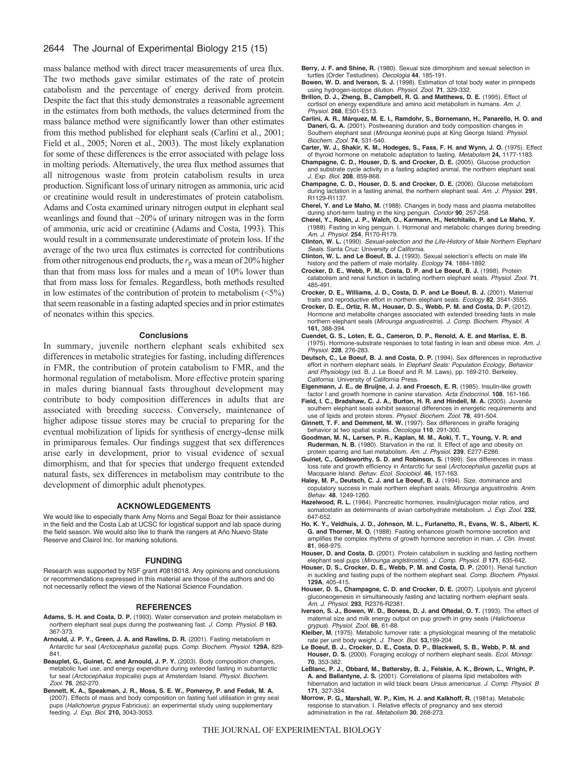## 2644 The Journal of Experimental Biology 215 (15)

mass balance method with direct tracer measurements of urea flux. The two methods gave similar estimates of the rate of protein catabolism and the percentage of energy derived from protein. Despite the fact that this study demonstrates a reasonable agreement in the estimates from both methods, the values determined from the mass balance method were significantly lower than other estimates from this method published for elephant seals (Carlini et al., 2001; Field et al., 2005; Noren et al., 2003). The most likely explanation for some of these differences is the error associated with pelage loss in molting periods. Alternatively, the urea flux method assumes that all nitrogenous waste from protein catabolism results in urea production. Significant loss of urinary nitrogen as ammonia, uric acid or creatinine would result in underestimates of protein catabolism. Adams and Costa examined urinary nitrogen output in elephant seal weanlings and found that ~20% of urinary nitrogen was in the form of ammonia, uric acid or creatinine (Adams and Costa, 1993). This would result in a commensurate underestimate of protein loss. If the average of the two urea flux estimates is corrected for contributions from other nitrogenous end products, the  $r_p$  was a mean of 20% higher than that from mass loss for males and a mean of 10% lower than that from mass loss for females. Regardless, both methods resulted in low estimates of the contribution of protein to metabolism  $(\leq 5\%)$ that seem reasonable in a fasting adapted species and in prior estimates of neonates within this species.

#### **Conclusions**

In summary, juvenile northern elephant seals exhibited sex differences in metabolic strategies for fasting, including differences in FMR, the contribution of protein catabolism to FMR, and the hormonal regulation of metabolism. More effective protein sparing in males during biannual fasts throughout development may contribute to body composition differences in adults that are associated with breeding success. Conversely, maintenance of higher adipose tissue stores may be crucial to preparing for the eventual mobilization of lipids for synthesis of energy-dense milk in primiparous females. Our findings suggest that sex differences arise early in development, prior to visual evidence of sexual dimorphism, and that for species that undergo frequent extended natural fasts, sex differences in metabolism may contribute to the development of dimorphic adult phenotypes.

#### **ACKNOWLEDGEMENTS**

We would like to especially thank Amy Norris and Segal Boaz for their assistance in the field and the Costa Lab at UCSC for logistical support and lab space during the field season. We would also like to thank the rangers at Año Nuevo State Reserve and Clairol Inc. for marking solutions.

#### **FUNDING**

Research was supported by NSF grant #0818018. Any opinions and conclusions or recommendations expressed in this material are those of the authors and do not necessarily reflect the views of the National Science Foundation.

#### **REFERENCES**

- **Adams, S. H. and Costa, D. P.** (1993). Water conservation and protein metabolism in northern elephant seal pups during the postweaning fast. *J. Comp. Physiol. B* **163**, 367-373.
- **Arnould, J. P. Y., Green, J. A. and Rawlins, D. R.** (2001). Fasting metabolism in Antarctic fur seal (*Arctocephalus gazella*) pups. *Comp. Biochem. Physiol.* **129A**, 829- 841.
- **Beauplet, G., Guinet, C. and Arnould, J. P. Y.** (2003). Body composition changes, metabolic fuel use, and energy expenditure during extended fasting in subantarctic fur seal (*Arctocephalus tropicalis*) pups at Amsterdam Island. *Physiol. Biochem. Zool.* **76**, 262-270.
- **Bennett, K. A., Speakman, J. R., Moss, S. E. W., Pomeroy, P. and Fedak, M. A.** (2007). Effects of mass and body composition on fasting fuel utilisation in grey seal pups (*Halichoerus grypus* Fabricius): an experimental study using supplementary feeding. *J. Exp. Biol.* **210,** 3043-3053.

**Berry, J. F. and Shine, R.** (1980). Sexual size dimorphism and sexual selection in turtles (Order Testudines). *Oecologia* **44**, 185-191.

- **Bowen, W. D. and Iverson, S. J.** (1998). Estimation of total body water in pinnipeds using hydrogen-isotope dilution. *Physiol. Zool.* **71**, 329-332.
- **Brillon, D. J., Zheng, B., Campbell, R. G. and Matthews, D. E.** (1995). Effect of cortisol on energy expenditure and amino acid metabolism in humans. *Am. J. Physiol.* **268**, E501-E513.
- **Carlini, A. R., Márquez, M. E. I., Ramdohr, S., Bornemann, H., Panarello, H. O. and Daneri, G. A.** (2001). Postweaning duration and body composition changes in Southern elephant seal (*Mirounga leonina*) pups at King George Island. *Physiol. Biochem. Zool.* **74**, 531-540.
- **Carter, W. J., Shakir, K. M., Hodeges, S., Fass, F. H. and Wynn, J. O.** (1975). Effect of thyroid hormone on metabolic adaptation to fasting. *Metabolism* **24,** 1177-1183.
- **Champagne, C. D., Houser, D. S. and Crocker, D. E.** (2005). Glucose production and substrate cycle activity in a fasting adapted animal, the northern elephant seal. *J. Exp. Biol.* **208**, 859-868.
- **Champagne, C. D., Houser, D. S. and Crocker, D. E.** (2006). Glucose metabolism during lactation in a fasting animal, the northern elephant seal. *Am. J. Physiol.* **291**, R1129-R1137.
- **Cherel, Y. and Le Maho, M.** (1988). Changes in body mass and plasma metabolites during short-term fasting in the king penguin. *Condor* **90**, 257-258. **Cherel, Y., Robin, J. P., Walch, O., Karmann, H., Netchitailo, P. and Le Maho, Y.**
- (1988). Fasting in king penguin. I. Hormonal and metabolic changes during breeding. *Am. J. Physiol.* **254**, R170-R179.
- **Clinton, W. L.** (1990). *Sexual-selection and the Life-History of Male Northern Elephant Seals*. Santa Cruz: University of California.
- **Clinton, W. L. and Le Boeuf, B. J.** (1993). Sexual selection's effects on male life history and the pattern of male mortality. *Ecology* **74**, 1884-1892.
- **Crocker, D. E., Webb, P. M., Costa, D. P. and Le Boeuf, B. J.** (1998). Protein catabolism and renal function in lactating northern elephant seals. *Physiol. Zool.* **71**, 485-491.
- **Crocker, D. E., Williams, J. D., Costa, D. P. and Le Boeuf, B. J.** (2001). Maternal traits and reproductive effort in northern elephant seals. *Ecology* **82**, 3541-3555.
- **Crocker, D. E., Ortiz, R. M., Houser, D. S., Webb, P. M. and Costa, D. P.** (2012). Hormone and metabolite changes associated with extended breeding fasts in male northern elephant seals (*Mirounga angustirostris*). *J. Comp. Biochem. Physiol. A* **161,** 388-394.
- **Cuendet, G. S., Loten, E. G., Cameron, D. P., Renold, A. E. and Marliss, E. B.** (1975). Hormone-substrate responses to total fasting in lean and obese mice. *Am. J. Physiol.* **228**, 276-283.
- **Deutsch, C., Le Boeuf, B. J. and Costa, D. P.** (1994). Sex differences in reproductive effort in northern elephant seals. In *Elephant Seals: Population Ecology, Behavior and Physiology* (ed. B. J. Le Boeuf and R. M. Laws), pp. 169-210. Berkeley, California: University of California Press.
- **Eigenmann, J. E., de Bruijne, J. J. and Froesch, E. R.** (1985). Insulin-like growth factor I and growth hormone in canine starvation. *Acta Endocrinol.* **108**, 161-166.
- **Field, I. C., Bradshaw, C. J. A., Burton, H. R. and Hindell, M. A.** (2005). Juvenile southern elephant seals exhibit seasonal differences in energetic requirements and use of lipids and protein stores. *Physiol. Biochem. Zool.* **78**, 491-504.
- **Ginnett, T. F. and Demment, M. W.** (1997). Sex differences in giraffe foraging behavior at two spatial scales. *Oecologia* **110**, 291-300.
- **Goodman, M. N., Larsen, P. R., Kaplan, M. M., Aoki, T. T., Young, V. R. and Ruderman, N. B.** (1980). Starvation in the rat. II. Effect of age and obesity on protein sparing and fuel metabolism. *Am. J. Physiol.* **239**, E277-E286.
- **Guinet, C., Goldsworthy, S. D. and Robinson, S.** (1999). Sex differences in mass loss rate and growth efficiency in Antarctic fur seal (*Arctocephalus gazella*) pups at Macquarie Island. *Behav. Ecol. Sociobiol.* **46**, 157-163.
- **Haley, M. P., Deutsch, C. J. and Le Boeuf, B. J.** (1994). Size, dominance and copulatory success in male northern elephant seals, *Mirounga angustirostris*. *Anim. Behav.* **48**, 1249-1260.
- **Hazelwood, R. L.** (1984). Pancreatic hormones, insulin/glucagon molar ratios, and somatostatin as determinants of avian carbohydrate metabolism. *J. Exp. Zool.* **232**, 647-652.
- **Ho, K. Y., Veldhuis, J. D., Johnson, M. L., Furlanetto, R., Evans, W. S., Alberti, K. G. and Thorner, M. O.** (1988). Fasting enhances growth hormone secretion and amplifies the complex rhythms of growth hormone secretion in man. *J. Clin. Invest.* **81**, 968-975.
- **Houser, D. and Costa, D.** (2001). Protein catabolism in suckling and fasting northern elephant seal pups (*Mirounga anglstirostris*). *J. Comp. Physiol. B* **171**, 635-642.
- **Houser, D. S., Crocker, D. E., Webb, P. M. and Costa, D. P.** (2001). Renal function in suckling and fasting pups of the northern elephant seal. *Comp. Biochem. Physiol.* **129A**, 405-415.
- **Houser, D. S., Champagne, C. D. and Crocker, D. E.** (2007). Lipolysis and glycerol gluconeogenesis in simultaneously fasting and lactating northern elephant seals. *Am. J. Physiol.* **293**, R2376-R2381.
- **Iverson, S. J., Bowen, W. D., Boness, D. J. and Oftedal, O. T.** (1993). The effect of maternal size and milk energy output on pup growth in grey seals (*Halichoerus grypus*). *Physiol. Zool.* **66**, 61-88.
- **Kleiber, M.** (1975). Metabolic turnover rate: a physiological meaning of the metabolic rate per unit body weight. *J. Theor. Biol.* **53,**199-204.
- **Le Boeuf, B. J., Crocker, D. E., Costa, D. P., Blackwell, S. B., Webb, P. M. and Houser, D. S.** (2000). Foraging ecology of northern elephant seals. *Ecol. Monogr.* **70**, 353-382.
- **LeBlanc, P. J., Obbard, M., Battersby, B. J., Felskie, A. K., Brown, L., Wright, P. A. and Ballantyne, J. S.** (2001). Correlations of plasma lipid metabolites with hibernation and lactation in wild black bears *Ursus americanus*. *J. Comp. Physiol. B* **171**, 327-334.
- **Morrow, P. G., Marshall, W. P., Kim, H. J. and Kalkhoff, R.** (1981a). Metabolic response to starvation. I. Relative effects of pregnancy and sex steroid administration in the rat. *Metabolism* **30**, 268-273.